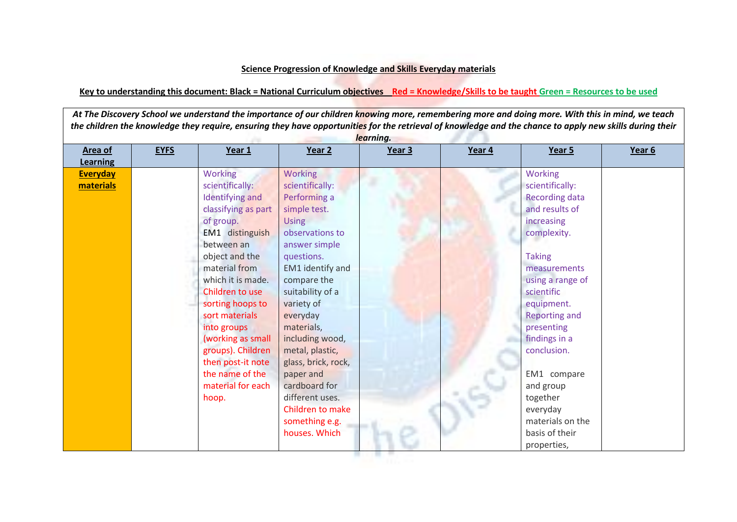## **Science Progression of Knowledge and Skills Everyday materials**

## **Key to understanding this document: Black = National Curriculum objectives Red = Knowledge/Skills to be taught Green = Resources to be used**

At The Discovery School we understand the importance of our children knowing more, remembering more and doing more. With this in mind, we teach *the children the knowledge they require, ensuring they have opportunities for the retrieval of knowledge and the chance to apply new skills during their learning.*

| Area of<br><b>Learning</b>   | <b>EYFS</b> | Year 1                                                                                                                                                                                                                                                                                                                                                             | Year 2                                                                                                                                                                                                                                                                                                                                                                                                         | Year 3 | Year 4 | Year 5                                                                                                                                                                                                                                                                                                                                                                    | Year 6 |
|------------------------------|-------------|--------------------------------------------------------------------------------------------------------------------------------------------------------------------------------------------------------------------------------------------------------------------------------------------------------------------------------------------------------------------|----------------------------------------------------------------------------------------------------------------------------------------------------------------------------------------------------------------------------------------------------------------------------------------------------------------------------------------------------------------------------------------------------------------|--------|--------|---------------------------------------------------------------------------------------------------------------------------------------------------------------------------------------------------------------------------------------------------------------------------------------------------------------------------------------------------------------------------|--------|
| <b>Everyday</b><br>materials |             | Working<br>scientifically:<br>Identifying and<br>classifying as part<br>of group.<br>EM1 distinguish<br>between an<br>object and the<br>material from<br>which it is made.<br>Children to use<br>sorting hoops to<br>sort materials<br>into groups<br>(working as small<br>groups). Children<br>then post-it note<br>the name of the<br>material for each<br>hoop. | <b>Working</b><br>scientifically:<br>Performing a<br>simple test.<br><b>Using</b><br>observations to<br>answer simple<br>questions.<br><b>EM1</b> identify and<br>compare the<br>suitability of a<br>variety of<br>everyday<br>materials,<br>including wood,<br>metal, plastic,<br>glass, brick, rock,<br>paper and<br>cardboard for<br>different uses.<br>Children to make<br>something e.g.<br>houses. Which |        |        | <b>Working</b><br>scientifically:<br><b>Recording data</b><br>and results of<br>increasing<br>complexity.<br><b>Taking</b><br>measurements<br>using a range of<br>scientific<br>equipment.<br><b>Reporting and</b><br>presenting<br>findings in a<br>conclusion.<br>EM1 compare<br>and group<br>together<br>everyday<br>materials on the<br>basis of their<br>properties, |        |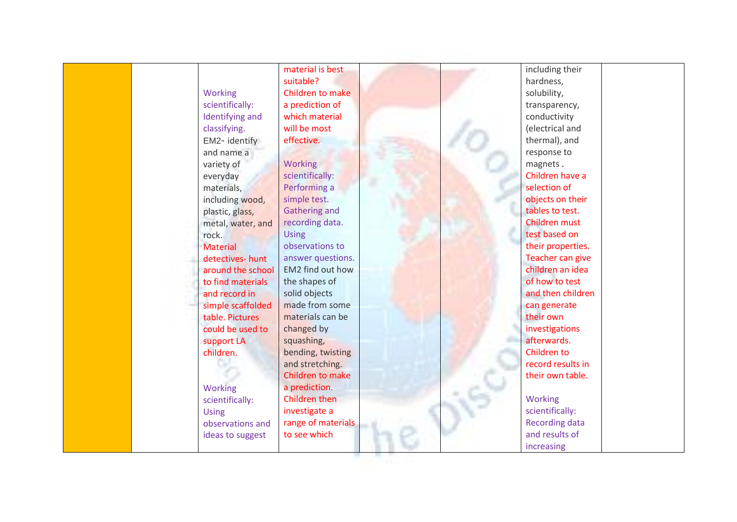| suitable?<br>hardness,<br>Working<br>Children to make<br>solubility,<br>scientifically:<br>a prediction of<br>transparency,<br>which material<br>Identifying and<br>conductivity<br>classifying.<br>will be most<br>(electrical and<br>effective.<br>thermal), and<br>EM2- identify<br>response to<br>and name a<br><b>Working</b><br>magnets.<br>variety of<br>Children have a<br>scientifically:<br>everyday<br>Performing a<br>selection of<br>materials,<br>simple test.<br>objects on their<br>including wood,<br><b>Gathering and</b><br>tables to test.<br>plastic, glass,<br>recording data.<br>Children must<br>metal, water, and<br>test based on<br><b>Using</b><br>rock.<br>observations to<br>their properties.<br><b>Material</b><br>answer questions.<br>Teacher can give<br>detectives-hunt<br>EM2 find out how<br>children an idea<br>around the school<br>of how to test<br>the shapes of<br>to find materials<br>solid objects<br>and then children<br>and record in<br>made from some<br>can generate<br>simple scaffolded<br>materials can be<br>their own<br>table. Pictures<br>changed by<br>investigations<br>could be used to<br>afterwards.<br>squashing,<br>support LA<br>Children to<br>children.<br>bending, twisting<br>and stretching.<br>record results in<br>Children to make<br>their own table.<br>a prediction.<br>Working<br>Children then<br><b>Working</b><br>scientifically:<br>scientifically:<br>investigate a<br><b>Using</b><br>range of materials<br><b>Recording data</b><br>observations and<br>and results of<br>to see which<br>ideas to suggest<br>increasing | material is best | including their |
|-----------------------------------------------------------------------------------------------------------------------------------------------------------------------------------------------------------------------------------------------------------------------------------------------------------------------------------------------------------------------------------------------------------------------------------------------------------------------------------------------------------------------------------------------------------------------------------------------------------------------------------------------------------------------------------------------------------------------------------------------------------------------------------------------------------------------------------------------------------------------------------------------------------------------------------------------------------------------------------------------------------------------------------------------------------------------------------------------------------------------------------------------------------------------------------------------------------------------------------------------------------------------------------------------------------------------------------------------------------------------------------------------------------------------------------------------------------------------------------------------------------------------------------------------------------------------------------------------------------------|------------------|-----------------|
|                                                                                                                                                                                                                                                                                                                                                                                                                                                                                                                                                                                                                                                                                                                                                                                                                                                                                                                                                                                                                                                                                                                                                                                                                                                                                                                                                                                                                                                                                                                                                                                                                 |                  |                 |
|                                                                                                                                                                                                                                                                                                                                                                                                                                                                                                                                                                                                                                                                                                                                                                                                                                                                                                                                                                                                                                                                                                                                                                                                                                                                                                                                                                                                                                                                                                                                                                                                                 |                  |                 |
|                                                                                                                                                                                                                                                                                                                                                                                                                                                                                                                                                                                                                                                                                                                                                                                                                                                                                                                                                                                                                                                                                                                                                                                                                                                                                                                                                                                                                                                                                                                                                                                                                 |                  |                 |
|                                                                                                                                                                                                                                                                                                                                                                                                                                                                                                                                                                                                                                                                                                                                                                                                                                                                                                                                                                                                                                                                                                                                                                                                                                                                                                                                                                                                                                                                                                                                                                                                                 |                  |                 |
|                                                                                                                                                                                                                                                                                                                                                                                                                                                                                                                                                                                                                                                                                                                                                                                                                                                                                                                                                                                                                                                                                                                                                                                                                                                                                                                                                                                                                                                                                                                                                                                                                 |                  |                 |
|                                                                                                                                                                                                                                                                                                                                                                                                                                                                                                                                                                                                                                                                                                                                                                                                                                                                                                                                                                                                                                                                                                                                                                                                                                                                                                                                                                                                                                                                                                                                                                                                                 |                  |                 |
|                                                                                                                                                                                                                                                                                                                                                                                                                                                                                                                                                                                                                                                                                                                                                                                                                                                                                                                                                                                                                                                                                                                                                                                                                                                                                                                                                                                                                                                                                                                                                                                                                 |                  |                 |
|                                                                                                                                                                                                                                                                                                                                                                                                                                                                                                                                                                                                                                                                                                                                                                                                                                                                                                                                                                                                                                                                                                                                                                                                                                                                                                                                                                                                                                                                                                                                                                                                                 |                  |                 |
|                                                                                                                                                                                                                                                                                                                                                                                                                                                                                                                                                                                                                                                                                                                                                                                                                                                                                                                                                                                                                                                                                                                                                                                                                                                                                                                                                                                                                                                                                                                                                                                                                 |                  |                 |
|                                                                                                                                                                                                                                                                                                                                                                                                                                                                                                                                                                                                                                                                                                                                                                                                                                                                                                                                                                                                                                                                                                                                                                                                                                                                                                                                                                                                                                                                                                                                                                                                                 |                  |                 |
|                                                                                                                                                                                                                                                                                                                                                                                                                                                                                                                                                                                                                                                                                                                                                                                                                                                                                                                                                                                                                                                                                                                                                                                                                                                                                                                                                                                                                                                                                                                                                                                                                 |                  |                 |
|                                                                                                                                                                                                                                                                                                                                                                                                                                                                                                                                                                                                                                                                                                                                                                                                                                                                                                                                                                                                                                                                                                                                                                                                                                                                                                                                                                                                                                                                                                                                                                                                                 |                  |                 |
|                                                                                                                                                                                                                                                                                                                                                                                                                                                                                                                                                                                                                                                                                                                                                                                                                                                                                                                                                                                                                                                                                                                                                                                                                                                                                                                                                                                                                                                                                                                                                                                                                 |                  |                 |
|                                                                                                                                                                                                                                                                                                                                                                                                                                                                                                                                                                                                                                                                                                                                                                                                                                                                                                                                                                                                                                                                                                                                                                                                                                                                                                                                                                                                                                                                                                                                                                                                                 |                  |                 |
|                                                                                                                                                                                                                                                                                                                                                                                                                                                                                                                                                                                                                                                                                                                                                                                                                                                                                                                                                                                                                                                                                                                                                                                                                                                                                                                                                                                                                                                                                                                                                                                                                 |                  |                 |
|                                                                                                                                                                                                                                                                                                                                                                                                                                                                                                                                                                                                                                                                                                                                                                                                                                                                                                                                                                                                                                                                                                                                                                                                                                                                                                                                                                                                                                                                                                                                                                                                                 |                  |                 |
|                                                                                                                                                                                                                                                                                                                                                                                                                                                                                                                                                                                                                                                                                                                                                                                                                                                                                                                                                                                                                                                                                                                                                                                                                                                                                                                                                                                                                                                                                                                                                                                                                 |                  |                 |
|                                                                                                                                                                                                                                                                                                                                                                                                                                                                                                                                                                                                                                                                                                                                                                                                                                                                                                                                                                                                                                                                                                                                                                                                                                                                                                                                                                                                                                                                                                                                                                                                                 |                  |                 |
|                                                                                                                                                                                                                                                                                                                                                                                                                                                                                                                                                                                                                                                                                                                                                                                                                                                                                                                                                                                                                                                                                                                                                                                                                                                                                                                                                                                                                                                                                                                                                                                                                 |                  |                 |
|                                                                                                                                                                                                                                                                                                                                                                                                                                                                                                                                                                                                                                                                                                                                                                                                                                                                                                                                                                                                                                                                                                                                                                                                                                                                                                                                                                                                                                                                                                                                                                                                                 |                  |                 |
|                                                                                                                                                                                                                                                                                                                                                                                                                                                                                                                                                                                                                                                                                                                                                                                                                                                                                                                                                                                                                                                                                                                                                                                                                                                                                                                                                                                                                                                                                                                                                                                                                 |                  |                 |
|                                                                                                                                                                                                                                                                                                                                                                                                                                                                                                                                                                                                                                                                                                                                                                                                                                                                                                                                                                                                                                                                                                                                                                                                                                                                                                                                                                                                                                                                                                                                                                                                                 |                  |                 |
|                                                                                                                                                                                                                                                                                                                                                                                                                                                                                                                                                                                                                                                                                                                                                                                                                                                                                                                                                                                                                                                                                                                                                                                                                                                                                                                                                                                                                                                                                                                                                                                                                 |                  |                 |
|                                                                                                                                                                                                                                                                                                                                                                                                                                                                                                                                                                                                                                                                                                                                                                                                                                                                                                                                                                                                                                                                                                                                                                                                                                                                                                                                                                                                                                                                                                                                                                                                                 |                  |                 |
|                                                                                                                                                                                                                                                                                                                                                                                                                                                                                                                                                                                                                                                                                                                                                                                                                                                                                                                                                                                                                                                                                                                                                                                                                                                                                                                                                                                                                                                                                                                                                                                                                 |                  |                 |
|                                                                                                                                                                                                                                                                                                                                                                                                                                                                                                                                                                                                                                                                                                                                                                                                                                                                                                                                                                                                                                                                                                                                                                                                                                                                                                                                                                                                                                                                                                                                                                                                                 |                  |                 |
|                                                                                                                                                                                                                                                                                                                                                                                                                                                                                                                                                                                                                                                                                                                                                                                                                                                                                                                                                                                                                                                                                                                                                                                                                                                                                                                                                                                                                                                                                                                                                                                                                 |                  |                 |
|                                                                                                                                                                                                                                                                                                                                                                                                                                                                                                                                                                                                                                                                                                                                                                                                                                                                                                                                                                                                                                                                                                                                                                                                                                                                                                                                                                                                                                                                                                                                                                                                                 |                  |                 |
|                                                                                                                                                                                                                                                                                                                                                                                                                                                                                                                                                                                                                                                                                                                                                                                                                                                                                                                                                                                                                                                                                                                                                                                                                                                                                                                                                                                                                                                                                                                                                                                                                 |                  |                 |
|                                                                                                                                                                                                                                                                                                                                                                                                                                                                                                                                                                                                                                                                                                                                                                                                                                                                                                                                                                                                                                                                                                                                                                                                                                                                                                                                                                                                                                                                                                                                                                                                                 |                  |                 |
|                                                                                                                                                                                                                                                                                                                                                                                                                                                                                                                                                                                                                                                                                                                                                                                                                                                                                                                                                                                                                                                                                                                                                                                                                                                                                                                                                                                                                                                                                                                                                                                                                 |                  |                 |
|                                                                                                                                                                                                                                                                                                                                                                                                                                                                                                                                                                                                                                                                                                                                                                                                                                                                                                                                                                                                                                                                                                                                                                                                                                                                                                                                                                                                                                                                                                                                                                                                                 |                  |                 |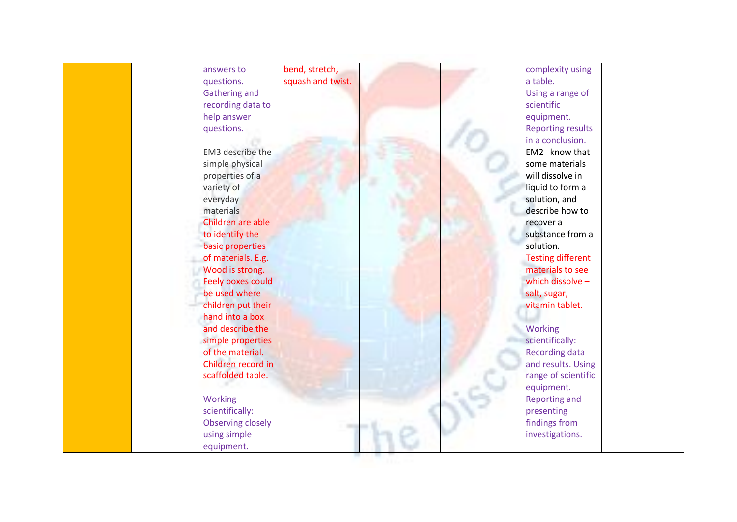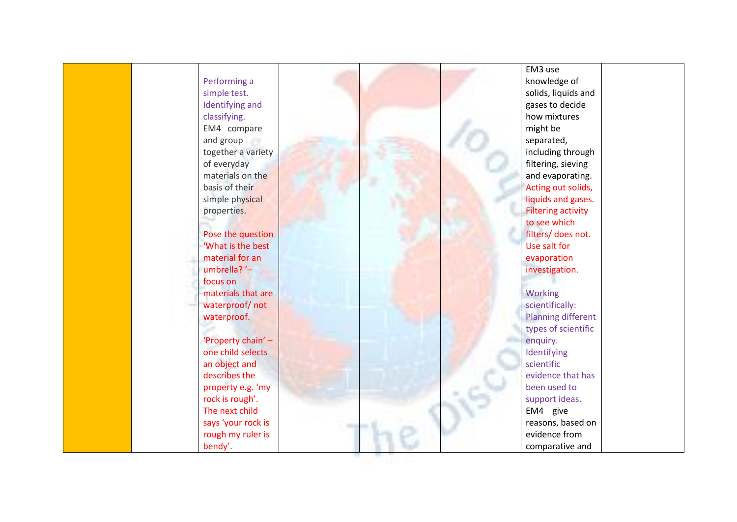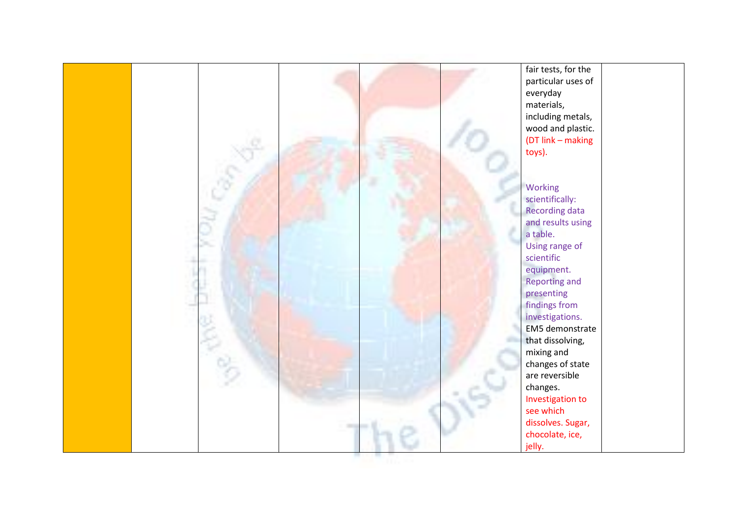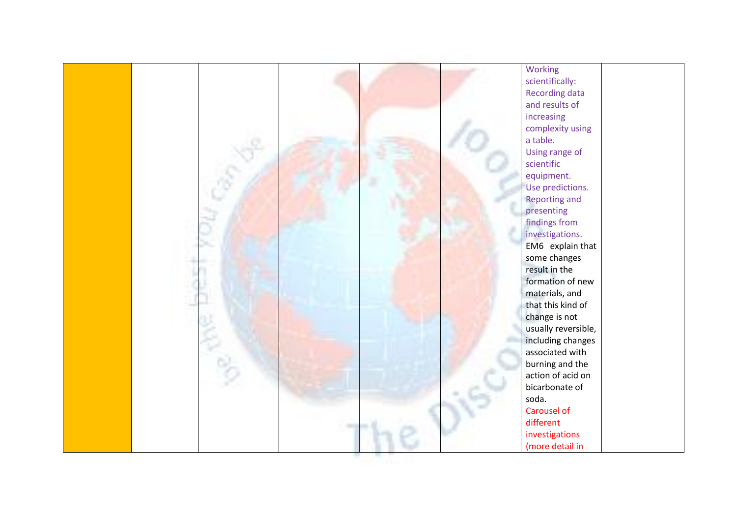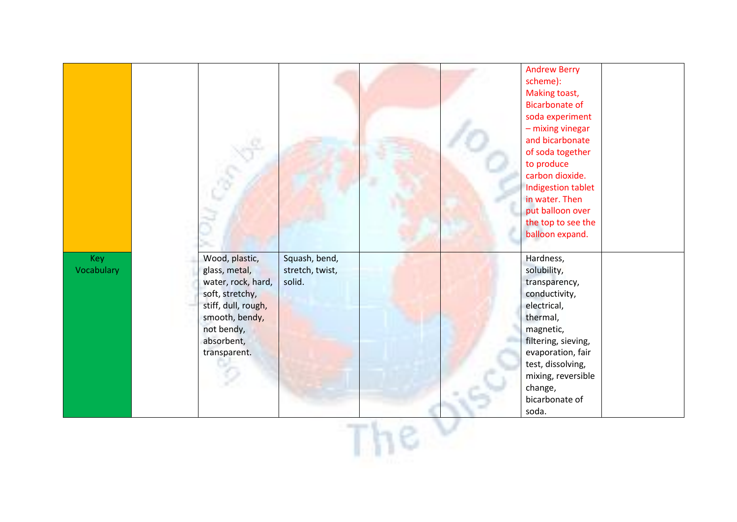|                          |                                                                                                                                                               |                                            |  | <b>Andrew Berry</b><br>scheme):<br>Making toast,<br><b>Bicarbonate of</b><br>soda experiment<br>- mixing vinegar<br>and bicarbonate<br>of soda together<br>to produce<br>carbon dioxide.<br>Indigestion tablet<br>in water. Then<br>put balloon over<br>the top to see the<br>balloon expand. |  |
|--------------------------|---------------------------------------------------------------------------------------------------------------------------------------------------------------|--------------------------------------------|--|-----------------------------------------------------------------------------------------------------------------------------------------------------------------------------------------------------------------------------------------------------------------------------------------------|--|
| <b>Key</b><br>Vocabulary | Wood, plastic,<br>glass, metal,<br>water, rock, hard,<br>soft, stretchy,<br>stiff, dull, rough,<br>smooth, bendy,<br>not bendy,<br>absorbent,<br>transparent. | Squash, bend,<br>stretch, twist,<br>solid. |  | Hardness,<br>solubility,<br>transparency,<br>conductivity,<br>electrical,<br>thermal,<br>magnetic,<br>filtering, sieving,<br>evaporation, fair<br>test, dissolving,<br>mixing, reversible<br>change,<br>bicarbonate of<br>soda.                                                               |  |
|                          |                                                                                                                                                               |                                            |  |                                                                                                                                                                                                                                                                                               |  |